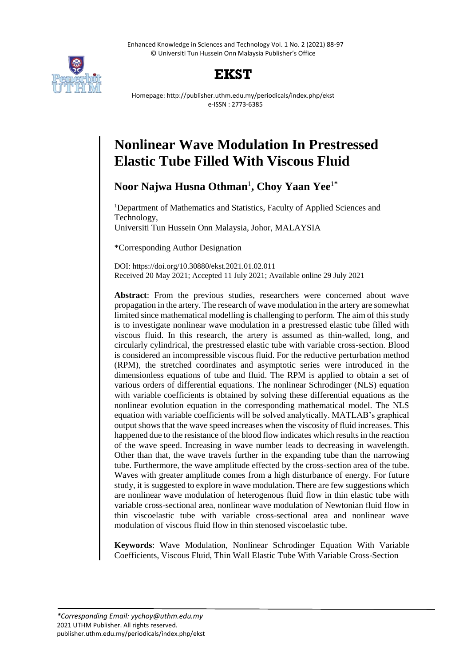Enhanced Knowledge in Sciences and Technology Vol. 1 No. 2 (2021) 88-97 © Universiti Tun Hussein Onn Malaysia Publisher's Office





Homepage: http://publisher.uthm.edu.my/periodicals/index.php/ekst e-ISSN : 2773-6385

# **Nonlinear Wave Modulation In Prestressed Elastic Tube Filled With Viscous Fluid**

**Noor Najwa Husna Othman** 1 **, Choy Yaan Yee**<sup>1</sup>**\***

<sup>1</sup>Department of Mathematics and Statistics, Faculty of Applied Sciences and Technology, Universiti Tun Hussein Onn Malaysia, Johor, MALAYSIA

\*Corresponding Author Designation

DOI: https://doi.org/10.30880/ekst.2021.01.02.011 Received 20 May 2021; Accepted 11 July 2021; Available online 29 July 2021

**Abstract**: From the previous studies, researchers were concerned about wave propagation in the artery. The research of wave modulation in the artery are somewhat limited since mathematical modelling is challenging to perform. The aim of this study is to investigate nonlinear wave modulation in a prestressed elastic tube filled with viscous fluid. In this research, the artery is assumed as thin-walled, long, and circularly cylindrical, the prestressed elastic tube with variable cross-section. Blood is considered an incompressible viscous fluid. For the reductive perturbation method (RPM), the stretched coordinates and asymptotic series were introduced in the dimensionless equations of tube and fluid. The RPM is applied to obtain a set of various orders of differential equations. The nonlinear Schrodinger (NLS) equation with variable coefficients is obtained by solving these differential equations as the nonlinear evolution equation in the corresponding mathematical model. The NLS equation with variable coefficients will be solved analytically. MATLAB's graphical output shows that the wave speed increases when the viscosity of fluid increases. This happened due to the resistance of the blood flow indicates which results in the reaction of the wave speed. Increasing in wave number leads to decreasing in wavelength. Other than that, the wave travels further in the expanding tube than the narrowing tube. Furthermore, the wave amplitude effected by the cross-section area of the tube. Waves with greater amplitude comes from a high disturbance of energy. For future study, it is suggested to explore in wave modulation. There are few suggestions which are nonlinear wave modulation of heterogenous fluid flow in thin elastic tube with variable cross-sectional area, nonlinear wave modulation of Newtonian fluid flow in thin viscoelastic tube with variable cross-sectional area and nonlinear wave modulation of viscous fluid flow in thin stenosed viscoelastic tube.

**Keywords**: Wave Modulation, Nonlinear Schrodinger Equation With Variable Coefficients, Viscous Fluid, Thin Wall Elastic Tube With Variable Cross-Section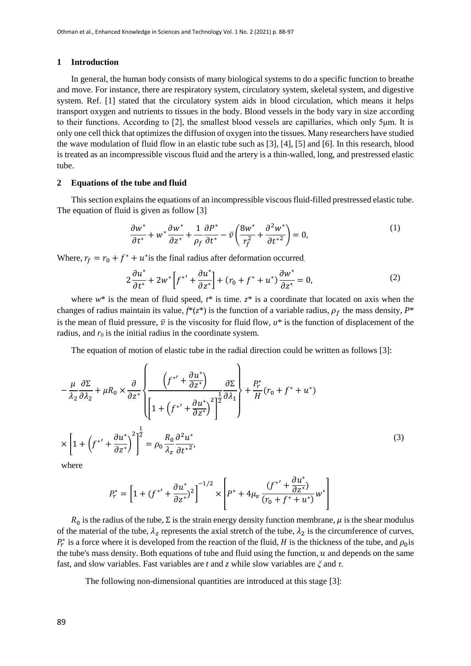#### **1 Introduction**

In general, the human body consists of many biological systems to do a specific function to breathe and move. For instance, there are respiratory system, circulatory system, skeletal system, and digestive system. Ref. [1] stated that the circulatory system aids in blood circulation, which means it helps transport oxygen and nutrients to tissues in the body. Blood vessels in the body vary in size according to their functions. According to [2], the smallest blood vessels are capillaries, which only 5μm. It is only one cell thick that optimizes the diffusion of oxygen into the tissues. Many researchers have studied the wave modulation of fluid flow in an elastic tube such as [3], [4], [5] and [6]. In this research, blood is treated as an incompressible viscous fluid and the artery is a thin-walled, long, and prestressed elastic tube.

### **2 Equations of the tube and fluid**

This section explains the equations of an incompressible viscous fluid-filled prestressed elastic tube. The equation of fluid is given as follow [3]

$$
\frac{\partial w^*}{\partial t^*} + w^* \frac{\partial w^*}{\partial z^*} + \frac{1}{\rho_f} \frac{\partial P^*}{\partial t^*} - \bar{v} \left( \frac{8w^*}{r_f^2} + \frac{\partial^2 w^*}{\partial t^*^2} \right) = 0, \tag{1}
$$

Where,  $r_f = r_0 + f^* + u^*$  is the final radius after deformation occurred.

$$
2\frac{\partial u^*}{\partial t^*} + 2w^* \left[ f^{*\prime} + \frac{\partial u^*}{\partial z^*} \right] + (r_0 + f^* + u^*) \frac{\partial w^*}{\partial z^*} = 0, \tag{2}
$$

where  $w^*$  is the mean of fluid speed,  $t^*$  is time.  $z^*$  is a coordinate that located on axis when the changes of radius maintain its value,  $f^*(z^*)$  is the function of a variable radius,  $\rho_f$  the mass density,  $P^*$ is the mean of fluid pressure,  $\bar{v}$  is the viscosity for fluid flow,  $u^*$  is the function of displacement of the radius, and  $r_0$  is the initial radius in the coordinate system.

The equation of motion of elastic tube in the radial direction could be written as follows [3]:

$$
-\frac{\mu}{\lambda_2} \frac{\partial \Sigma}{\partial \lambda_2} + \mu R_0 \times \frac{\partial}{\partial z^*} \left\{ \frac{\left(f^{*'} + \frac{\partial u^*}{\partial z^*}\right)}{\left[1 + \left(f^{*'} + \frac{\partial u^*}{\partial z^*}\right)^2\right]^{\frac{1}{2}} \partial \lambda_1} + \frac{P_r^*}{H} (r_0 + f^* + u^*) \right\}
$$

$$
\times \left[1 + \left(f^{*'} + \frac{\partial u^*}{\partial z^*}\right)^2\right]^{\frac{1}{2}} = \rho_0 \frac{R_0}{\lambda_z} \frac{\partial^2 u^*}{\partial t^{*2}},\tag{3}
$$

where

$$
P_r^* = \left[1 + (f^{*'} + \frac{\partial u^*}{\partial z^*})^2\right]^{-1/2} \times \left[P^* + 4\mu_v \frac{(f^{*'} + \frac{\partial u^*}{\partial z^*})}{(r_0 + f^* + u^*)}w^*\right]
$$

 $R_0$  is the radius of the tube,  $\Sigma$  is the strain energy density function membrane,  $\mu$  is the shear modulus of the material of the tube,  $\lambda_z$  represents the axial stretch of the tube,  $\lambda_z$  is the circumference of curves,  $P_r^*$  is a force where it is developed from the reaction of the fluid, H is the thickness of the tube, and  $\rho_0$  is the tube's mass density. Both equations of tube and fluid using the function,  $u$  and depends on the same fast, and slow variables. Fast variables are *t* and *z* while slow variables are *ξ* and *τ.*

The following non-dimensional quantities are introduced at this stage [3]: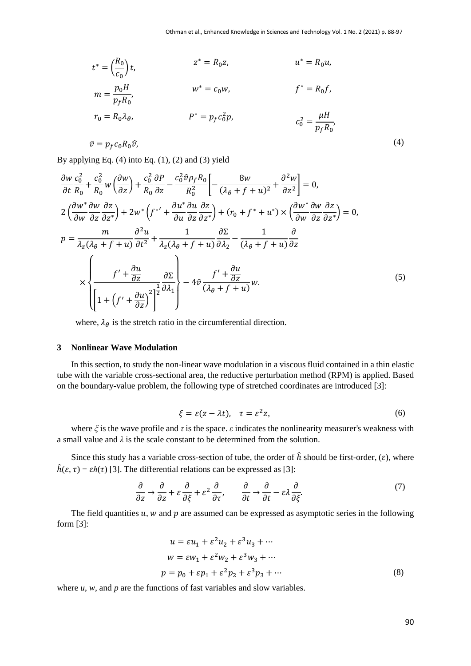$$
t^* = \left(\frac{R_0}{c_0}\right)t,
$$
  
\n
$$
z^* = R_0z,
$$
  
\n
$$
u^* = R_0u,
$$
  
\n
$$
m = \frac{p_0H}{p_fR_0},
$$
  
\n
$$
r_0 = R_0\lambda_\theta,
$$
  
\n
$$
p^* = p_f c_0^2 p,
$$
  
\n
$$
r = p_f c_0 R_0 \hat{v},
$$
  
\n
$$
u^* = R_0u,
$$
  
\n
$$
f^* = R_0f,
$$
  
\n
$$
c_0^2 = \frac{\mu H}{p_f R_0},
$$
  
\n(4)

By applying Eq.  $(4)$  into Eq.  $(1)$ ,  $(2)$  and  $(3)$  yield

$$
\frac{\partial w}{\partial t} \frac{c_0^2}{R_0} + \frac{c_0^2}{R_0} w \left( \frac{\partial w}{\partial z} \right) + \frac{c_0^2}{R_0} \frac{\partial P}{\partial z} - \frac{c_0^2 \hat{v} \rho_f R_0}{R_0^2} \left[ -\frac{8w}{(\lambda_\theta + f + u)^2} + \frac{\partial^2 w}{\partial z^2} \right] = 0,
$$
\n
$$
2 \left( \frac{\partial w^*}{\partial w} \frac{\partial w}{\partial z} \frac{\partial z}{\partial z^*} \right) + 2w^* \left( f^{*'} + \frac{\partial u^*}{\partial u} \frac{\partial u}{\partial z} \frac{\partial z}{\partial z^*} \right) + (r_0 + f^* + u^*) \times \left( \frac{\partial w^*}{\partial w} \frac{\partial w}{\partial z} \frac{\partial z}{\partial z^*} \right) = 0,
$$
\n
$$
p = \frac{m}{\lambda_z (\lambda_\theta + f + u)} \frac{\partial^2 u}{\partial t^2} + \frac{1}{\lambda_z (\lambda_\theta + f + u)} \frac{\partial \Sigma}{\partial \lambda_z} - \frac{1}{(\lambda_\theta + f + u)} \frac{\partial}{\partial z}
$$
\n
$$
\times \left\{ \frac{f' + \frac{\partial u}{\partial z}}{\left( 1 + \left( f' + \frac{\partial u}{\partial z} \right)^2 \right)^{\frac{1}{2}} \frac{\partial \lambda_1}{\partial \lambda_1}} \right\} - 4 \hat{v} \frac{f' + \frac{\partial u}{\partial z}}{(\lambda_\theta + f + u)} w.
$$
\n(5)

where,  $\lambda_{\theta}$  is the stretch ratio in the circumferential direction.

#### **3 Nonlinear Wave Modulation**

In this section, to study the non-linear wave modulation in a viscous fluid contained in a thin elastic tube with the variable cross-sectional area, the reductive perturbation method (RPM) is applied. Based on the boundary-value problem, the following type of stretched coordinates are introduced [3]:

$$
\xi = \varepsilon (z - \lambda t), \quad \tau = \varepsilon^2 z,\tag{6}
$$

where *ξ* is the wave profile and *τ* is the space. *ε* indicates the nonlinearity measurer's weakness with a small value and  $\lambda$  is the scale constant to be determined from the solution.

Since this study has a variable cross-section of tube, the order of  $\hat{h}$  should be first-order, ( $\varepsilon$ ), where  $\hat{h}(\varepsilon, \tau) = \varepsilon h(\tau)$  [3]. The differential relations can be expressed as [3]:

$$
\frac{\partial}{\partial z} \rightarrow \frac{\partial}{\partial z} + \varepsilon \frac{\partial}{\partial \xi} + \varepsilon^2 \frac{\partial}{\partial \tau}, \qquad \frac{\partial}{\partial t} \rightarrow \frac{\partial}{\partial t} - \varepsilon \lambda \frac{\partial}{\partial \xi}.
$$
 (7)

The field quantities  $u$ ,  $w$  and  $p$  are assumed can be expressed as asymptotic series in the following form [3]:

$$
u = \varepsilon u_1 + \varepsilon^2 u_2 + \varepsilon^3 u_3 + \cdots
$$
  
\n
$$
w = \varepsilon w_1 + \varepsilon^2 w_2 + \varepsilon^3 w_3 + \cdots
$$
  
\n
$$
p = p_0 + \varepsilon p_1 + \varepsilon^2 p_2 + \varepsilon^3 p_3 + \cdots
$$
 (8)

where  $u$ ,  $w$ , and  $p$  are the functions of fast variables and slow variables.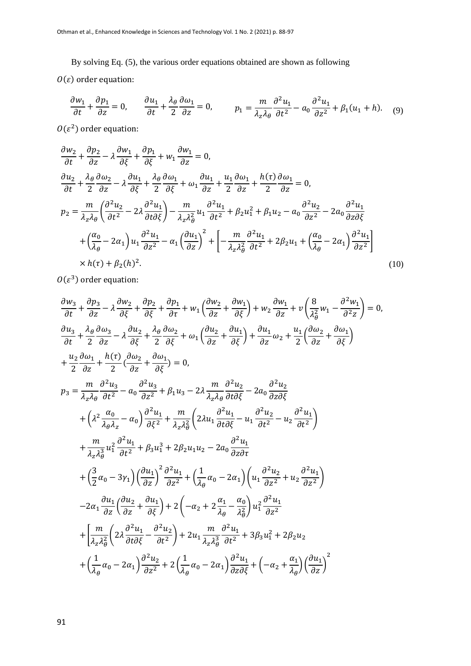By solving Eq. (5), the various order equations obtained are shown as following

 $O(\varepsilon)$  order equation:

$$
\frac{\partial w_1}{\partial t} + \frac{\partial p_1}{\partial z} = 0, \qquad \frac{\partial u_1}{\partial t} + \frac{\lambda_\theta}{2} \frac{\partial \omega_1}{\partial z} = 0, \qquad p_1 = \frac{m}{\lambda_z \lambda_\theta} \frac{\partial^2 u_1}{\partial t^2} - a_0 \frac{\partial^2 u_1}{\partial z^2} + \beta_1 (u_1 + h). \tag{9}
$$

 $O(\varepsilon^2)$  order equation:

$$
\frac{\partial w_2}{\partial t} + \frac{\partial p_2}{\partial z} - \lambda \frac{\partial w_1}{\partial \xi} + \frac{\partial p_1}{\partial \xi} + w_1 \frac{\partial w_1}{\partial z} = 0,
$$
\n
$$
\frac{\partial u_2}{\partial t} + \frac{\lambda_\theta}{2} \frac{\partial \omega_2}{\partial z} - \lambda \frac{\partial u_1}{\partial \xi} + \frac{\lambda_\theta}{2} \frac{\partial \omega_1}{\partial \xi} + \omega_1 \frac{\partial u_1}{\partial z} + \frac{u_1}{2} \frac{\partial \omega_1}{\partial z} + \frac{h(\tau)}{2} \frac{\partial \omega_1}{\partial z} = 0,
$$
\n
$$
p_2 = \frac{m}{\lambda_z \lambda_\theta} \left( \frac{\partial^2 u_2}{\partial t^2} - 2\lambda \frac{\partial^2 u_1}{\partial t \partial \xi} \right) - \frac{m}{\lambda_z \lambda_\theta^2} u_1 \frac{\partial^2 u_1}{\partial t^2} + \beta_2 u_1^2 + \beta_1 u_2 - a_0 \frac{\partial^2 u_2}{\partial z^2} - 2a_0 \frac{\partial^2 u_1}{\partial z \partial \xi} + \left( \frac{\alpha_0}{\lambda_\theta} - 2\alpha_1 \right) u_1 \frac{\partial^2 u_1}{\partial z^2} - \alpha_1 \left( \frac{\partial u_1}{\partial z} \right)^2 + \left[ -\frac{m}{\lambda_z \lambda_\theta^2} \frac{\partial^2 u_1}{\partial t^2} + 2\beta_2 u_1 + \left( \frac{\alpha_0}{\lambda_\theta} - 2\alpha_1 \right) \frac{\partial^2 u_1}{\partial z^2} \right]
$$
\n
$$
\times h(\tau) + \beta_2(h)^2.
$$
\n(10)

 $O(\varepsilon^3)$  order equation:

$$
\frac{\partial w_3}{\partial t} + \frac{\partial p_3}{\partial z} - \lambda \frac{\partial w_2}{\partial \xi} + \frac{\partial p_2}{\partial \xi} + \frac{\partial p_1}{\partial \tau} + w_1 \left( \frac{\partial w_2}{\partial z} + \frac{\partial w_1}{\partial \xi} \right) + w_2 \frac{\partial w_1}{\partial z} + v \left( \frac{8}{\lambda \theta} w_1 - \frac{\partial^2 w_1}{\partial z^2} \right) = 0,
$$
\n
$$
\frac{\partial u_3}{\partial t} + \frac{\lambda_\theta}{2} \frac{\partial \omega_3}{\partial z} - \lambda \frac{\partial u_2}{\partial \xi} + \frac{\lambda_\theta}{2} \frac{\partial \omega_2}{\partial \xi} + \omega_1 \left( \frac{\partial u_2}{\partial z} + \frac{\partial u_1}{\partial \xi} \right) + \frac{\partial u_1}{\partial z} \omega_2 + \frac{u_1}{2} \left( \frac{\partial \omega_2}{\partial z} + \frac{\partial \omega_1}{\partial \xi} \right)
$$
\n
$$
+ \frac{u_2}{2} \frac{\partial \omega_1}{\partial z} + \frac{h(\tau)}{2} \left( \frac{\partial \omega_2}{\partial z} + \frac{\partial \omega_1}{\partial \xi} \right) = 0,
$$
\n
$$
p_3 = \frac{m}{\lambda_z \lambda_\theta} \frac{\partial^2 u_3}{\partial t^2} - a_0 \frac{\partial^2 u_3}{\partial z^2} + \beta_1 u_3 - 2\lambda \frac{m}{\lambda_z \lambda_\theta} \frac{\partial^2 u_2}{\partial t \partial \xi} - 2a_0 \frac{\partial^2 u_2}{\partial z \partial \xi}
$$
\n
$$
+ \left( \lambda^2 \frac{\alpha_0}{\lambda_\theta \lambda_z} - \alpha_0 \right) \frac{\partial^2 u_1}{\partial \xi^2} + \frac{m}{\lambda_z \lambda_\theta^2} \left( 2\lambda u_1 \frac{\partial^2 u_1}{\partial t \partial \xi} - u_1 \frac{\partial^2 u_2}{\partial t^2} - u_2 \frac{\partial^2 u_1}{\partial t^2} \right)
$$
\n
$$
+ \frac{m}{\lambda_z \lambda_\theta^3} u_1^2 \frac{\partial^2 u_1}{\partial t^2} + \beta_3 u_1^3 + 2\beta
$$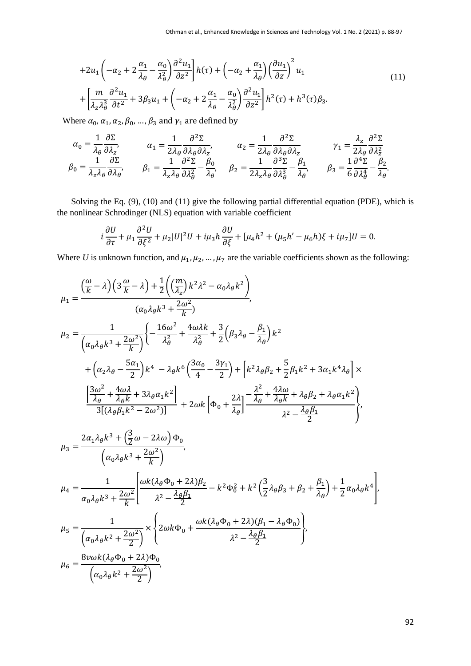$$
+2u_1\left(-\alpha_2+2\frac{\alpha_1}{\lambda_\theta}-\frac{\alpha_0}{\lambda_\theta^2}\right)\frac{\partial^2 u_1}{\partial z^2}\right]h(\tau)+\left(-\alpha_2+\frac{\alpha_1}{\lambda_\theta}\right)\left(\frac{\partial u_1}{\partial z}\right)^2u_1
$$
  
+
$$
\left[\frac{m}{\lambda_z\lambda_\theta^3}\frac{\partial^2 u_1}{\partial t^2}+3\beta_3u_1+\left(-\alpha_2+2\frac{\alpha_1}{\lambda_\theta}-\frac{\alpha_0}{\lambda_\theta^2}\right)\frac{\partial^2 u_1}{\partial z^2}\right]h^2(\tau)+h^3(\tau)\beta_3.
$$
 (11)

Where  $\alpha_0$ ,  $\alpha_1$ ,  $\alpha_2$ ,  $\beta_0$ , ...,  $\beta_3$  and  $\gamma_1$  are defined by

$$
\alpha_0 = \frac{1}{\lambda_\theta} \frac{\partial \Sigma}{\partial \lambda_z}, \qquad \alpha_1 = \frac{1}{2\lambda_\theta} \frac{\partial^2 \Sigma}{\partial \lambda_\theta \partial \lambda_z}, \qquad \alpha_2 = \frac{1}{2\lambda_\theta} \frac{\partial^2 \Sigma}{\partial \lambda_\theta \partial \lambda_z} \qquad \gamma_1 = \frac{\lambda_z}{2\lambda_\theta} \frac{\partial^2 \Sigma}{\partial \lambda_z^2}
$$

$$
\beta_0 = \frac{1}{\lambda_z \lambda_\theta} \frac{\partial \Sigma}{\partial \lambda_\theta}, \qquad \beta_1 = \frac{1}{\lambda_z \lambda_\theta} \frac{\partial^2 \Sigma}{\partial \lambda_\theta^2} - \frac{\beta_0}{\lambda_\theta}, \qquad \beta_2 = \frac{1}{2\lambda_z \lambda_\theta} \frac{\partial^3 \Sigma}{\partial \lambda_\theta^3} - \frac{\beta_1}{\lambda_\theta}, \qquad \beta_3 = \frac{1}{6} \frac{\partial^4 \Sigma}{\partial \lambda_\theta^4} - \frac{\beta_2}{\lambda_\theta}.
$$

Solving the Eq. (9), (10) and (11) give the following partial differential equation (PDE), which is the nonlinear Schrodinger (NLS) equation with variable coefficient

$$
i\frac{\partial U}{\partial \tau} + \mu_1 \frac{\partial^2 U}{\partial \xi^2} + \mu_2 |U|^2 U + i\mu_3 h \frac{\partial U}{\partial \xi} + [\mu_4 h^2 + (\mu_5 h' - \mu_6 h)\xi + i\mu_7]U = 0.
$$

Where *U* is unknown function, and  $\mu_1, \mu_2, \dots, \mu_7$  are the variable coefficients shown as the following:

$$
\mu_{1} = \frac{\left(\frac{\omega}{k} - \lambda\right)\left(3\frac{\omega}{k} - \lambda\right) + \frac{1}{2}\left(\left(\frac{m}{\lambda_{z}}\right)k^{2}\lambda^{2} - \alpha_{0}\lambda_{\theta}k^{2}\right)}{(\alpha_{0}\lambda_{\theta}k^{3} + \frac{2\omega^{2}}{k})},
$$
\n
$$
\mu_{2} = \frac{1}{\left(\alpha_{0}\lambda_{\theta}k^{3} + \frac{2\omega^{2}}{k}\right)}\left\{-\frac{16\omega^{2}}{\lambda_{\theta}^{2}} + \frac{4\omega\lambda k}{\lambda_{\theta}^{2}} + \frac{3}{2}\left(\beta_{3}\lambda_{\theta} - \frac{\beta_{1}}{\lambda_{\theta}}\right)k^{2}\right\}
$$
\n
$$
+ \left(\alpha_{2}\lambda_{\theta} - \frac{5\alpha_{1}}{2}\right)k^{4} - \lambda_{\theta}k^{6}\left(\frac{3\alpha_{0}}{4} - \frac{3\gamma_{1}}{2}\right) + \left[k^{2}\lambda_{\theta}\beta_{2} + \frac{5}{2}\beta_{1}k^{2} + 3\alpha_{1}k^{4}\lambda_{\theta}\right] \times
$$
\n
$$
\frac{\left[\frac{3\omega^{2}}{\lambda_{\theta}} + \frac{4\omega\lambda}{\lambda_{\theta}k} + 3\lambda_{\theta}\alpha_{1}k^{2}\right]}{3\left[(\lambda_{\theta}\beta_{1}k^{2} - 2\omega^{2})\right]} + 2\omega k\left[\Phi_{0} + \frac{2\lambda}{\lambda_{\theta}}\right] - \frac{\lambda^{2}}{\lambda_{\theta}} + \frac{4\lambda\omega}{\lambda_{\theta}k} + \lambda_{\theta}\beta_{2} + \lambda_{\theta}\alpha_{1}k^{2}\right)},
$$
\n
$$
\mu_{3} = \frac{2\alpha_{1}\lambda_{\theta}k^{3} + \left(\frac{3}{2}\omega - 2\lambda\omega\right)\Phi_{0}}{\left(\alpha_{0}\lambda_{\theta}k^{3} + \frac{2\omega^{2}}{k}\right)},
$$
\n
$$
\mu_{4} = \frac{1}{\alpha_{0}\lambda_{\theta}k^{3} + \frac{2\omega^{2}}{k}}\left[\frac{\omega k(\lambda_{\theta}\Phi_{0} + 2\lambda)\beta_{2}}{\lambda^{2} - \frac{\lambda_{\theta}\beta_{1}}{2}} - k^{2
$$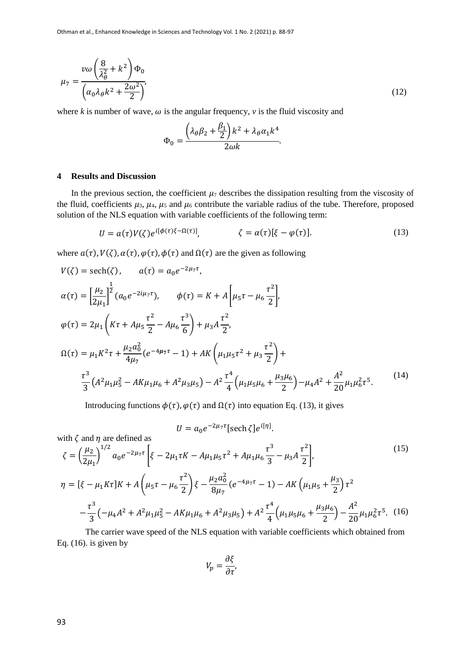$$
\mu_7 = \frac{v\omega\left(\frac{8}{\lambda_\theta^2} + k^2\right)\Phi_0}{\left(\alpha_0\lambda_\theta k^2 + \frac{2\omega^2}{2}\right)},\tag{12}
$$

where  $k$  is number of wave,  $\omega$  is the angular frequency,  $\nu$  is the fluid viscosity and

$$
\Phi_0 = \frac{\left(\lambda_\theta \beta_2 + \frac{\beta_1}{2}\right)k^2 + \lambda_\theta \alpha_1 k^4}{2\omega k}.
$$

### **4 Results and Discussion**

In the previous section, the coefficient  $\mu_7$  describes the dissipation resulting from the viscosity of the fluid, coefficients  $\mu_3$ ,  $\mu_4$ ,  $\mu_5$  and  $\mu_6$  contribute the variable radius of the tube. Therefore, proposed solution of the NLS equation with variable coefficients of the following term:

$$
U = a(\tau)V(\zeta)e^{i[\phi(\tau)\zeta - \Omega(\tau)]}, \qquad \zeta = \alpha(\tau)[\zeta - \varphi(\tau)]. \tag{13}
$$

where  $a(\tau)$ ,  $V(\zeta)$ ,  $\alpha(\tau)$ ,  $\varphi(\tau)$ ,  $\varphi(\tau)$  and  $\Omega(\tau)$  are the given as following

$$
V(\zeta) = \text{sech}(\zeta), \qquad a(\tau) = a_0 e^{-2\mu_7 \tau},
$$
  
\n
$$
\alpha(\tau) = \left[\frac{\mu_2}{2\mu_1}\right]^{\frac{1}{2}} (a_0 e^{-2i\mu_7 \tau}), \qquad \phi(\tau) = K + A \left[\mu_5 \tau - \mu_6 \frac{\tau^2}{2}\right],
$$
  
\n
$$
\varphi(\tau) = 2\mu_1 \left(K\tau + A\mu_5 \frac{\tau^2}{2} - A\mu_6 \frac{\tau^3}{6}\right) + \mu_3 A \frac{\tau^2}{2},
$$
  
\n
$$
\Omega(\tau) = \mu_1 K^2 \tau + \frac{\mu_2 a_0^2}{4\mu_7} (e^{-4\mu_7 \tau} - 1) + AK \left(\mu_1 \mu_5 \tau^2 + \mu_3 \frac{\tau^2}{2}\right) +
$$
  
\n
$$
\frac{\tau^3}{3} (A^2 \mu_1 \mu_5^2 - AK\mu_1 \mu_6 + A^2 \mu_3 \mu_5) - A^2 \frac{\tau^4}{4} \left(\mu_1 \mu_5 \mu_6 + \frac{\mu_3 \mu_6}{2}\right) - \mu_4 A^2 + \frac{A^2}{20} \mu_1 \mu_6^2 \tau^5.
$$
\n(14)

Introducing functions  $\phi(\tau),\phi(\tau)$  and  $\Omega(\tau)$  into equation Eq. (13), it gives

 $U = a_0 e^{-2\mu_7 \tau} [\text{sech }\zeta] e^{i[\eta]}$ .

with 
$$
\zeta
$$
 and  $\eta$  are defined as  
\n
$$
\zeta = \left(\frac{\mu_2}{2\mu_1}\right)^{1/2} a_0 e^{-2\mu_7 \tau} \left[\xi - 2\mu_1 \tau K - A\mu_1 \mu_5 \tau^2 + A\mu_1 \mu_6 \frac{\tau^3}{3} - \mu_3 A \frac{\tau^2}{2}\right],
$$
\n
$$
\eta = [\xi - \mu_1 K \tau] K + A \left(\mu_5 \tau - \mu_6 \frac{\tau^2}{2}\right) \xi - \frac{\mu_2 a_0^2}{8\mu_7} (e^{-4\mu_7 \tau} - 1) - AK \left(\mu_1 \mu_5 + \frac{\mu_3}{2}\right) \tau^2
$$
\n
$$
-\frac{\tau^3}{3} \left(-\mu_4 A^2 + A^2 \mu_1 \mu_5^2 - AK\mu_1 \mu_6 + A^2 \mu_3 \mu_5\right) + A^2 \frac{\tau^4}{4} \left(\mu_1 \mu_5 \mu_6 + \frac{\mu_3 \mu_6}{2}\right) - \frac{A^2}{20} \mu_1 \mu_6^2 \tau^5.
$$
\n(16)

The carrier wave speed of the NLS equation with variable coefficients which obtained from Eq.  $(16)$ . is given by

$$
V_p = \frac{\partial \xi}{\partial \tau'}
$$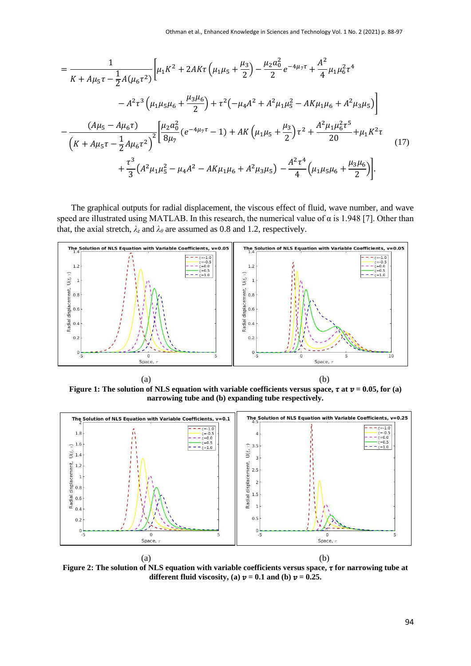$$
= \frac{1}{K + A\mu_{5}\tau - \frac{1}{2}A(\mu_{6}\tau^{2})}\left[\mu_{1}K^{2} + 2AK\tau\left(\mu_{1}\mu_{5} + \frac{\mu_{3}}{2}\right) - \frac{\mu_{2}a_{0}^{2}}{2}e^{-4\mu_{7}\tau} + \frac{A^{2}}{4}\mu_{1}\mu_{6}^{2}\tau^{4}\right.- A^{2}\tau^{3}\left(\mu_{1}\mu_{5}\mu_{6} + \frac{\mu_{3}\mu_{6}}{2}\right) + \tau^{2}\left(-\mu_{4}A^{2} + A^{2}\mu_{1}\mu_{5}^{2} - AK\mu_{1}\mu_{6} + A^{2}\mu_{3}\mu_{5}\right)\right]- \frac{(A\mu_{5} - A\mu_{6}\tau)}{\left(K + A\mu_{5}\tau - \frac{1}{2}A\mu_{6}\tau^{2}\right)^{2}}\left[\frac{\mu_{2}a_{0}^{2}}{8\mu_{7}}\left(e^{-4\mu_{7}\tau} - 1\right) + AK\left(\mu_{1}\mu_{5} + \frac{\mu_{3}}{2}\right)\tau^{2} + \frac{A^{2}\mu_{1}\mu_{6}^{2}\tau^{5}}{20} + \mu_{1}K^{2}\tau\right] + \frac{\tau^{3}}{3}\left(A^{2}\mu_{1}\mu_{5}^{2} - \mu_{4}A^{2} - AK\mu_{1}\mu_{6} + A^{2}\mu_{3}\mu_{5}\right) - \frac{A^{2}\tau^{4}}{4}\left(\mu_{1}\mu_{5}\mu_{6} + \frac{\mu_{3}\mu_{6}}{2}\right)\right].
$$

The graphical outputs for radial displacement, the viscous effect of fluid, wave number, and wave speed are illustrated using MATLAB. In this research, the numerical value of  $\alpha$  is 1.948 [7]. Other than that, the axial stretch,  $\lambda_z$  and  $\lambda_\theta$  are assumed as 0.8 and 1.2, respectively.



**Figure 1: The solution of NLS equation with variable coefficients versus space,**  $\tau$  **at**  $\nu$  **= 0.05, for (a) narrowing tube and (b) expanding tube respectively.**



**Figure 2: The solution of NLS equation with variable coefficients versus space, for narrowing tube at different fluid viscosity, (a)**  $v = 0.1$  **and (b)**  $v = 0.25$ **.**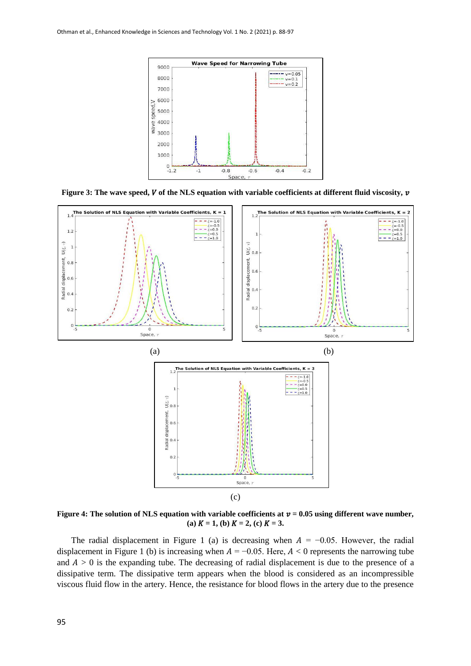

Figure 3: The wave speed, V of the NLS equation with variable coefficients at different fluid viscosity, v



Figure 4: The solution of NLS equation with variable coefficients at  $v = 0.05$  using different wave number, (a)  $K = 1$ , (b)  $K = 2$ , (c)  $K = 3$ .

The radial displacement in Figure 1 (a) is decreasing when  $A = -0.05$ . However, the radial displacement in Figure 1 (b) is increasing when  $A = -0.05$ . Here,  $A < 0$  represents the narrowing tube and  $A > 0$  is the expanding tube. The decreasing of radial displacement is due to the presence of a dissipative term. The dissipative term appears when the blood is considered as an incompressible viscous fluid flow in the artery. Hence, the resistance for blood flows in the artery due to the presence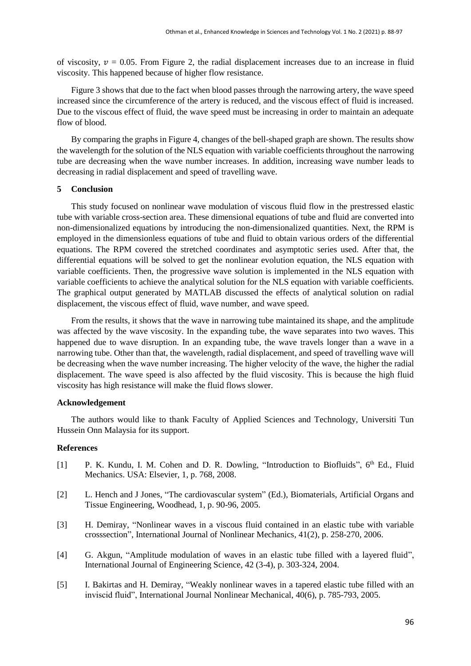of viscosity,  $v = 0.05$ . From Figure 2, the radial displacement increases due to an increase in fluid viscosity. This happened because of higher flow resistance.

Figure 3 shows that due to the fact when blood passes through the narrowing artery, the wave speed increased since the circumference of the artery is reduced, and the viscous effect of fluid is increased. Due to the viscous effect of fluid, the wave speed must be increasing in order to maintain an adequate flow of blood.

By comparing the graphs in Figure 4, changes of the bell-shaped graph are shown. The results show the wavelength for the solution of the NLS equation with variable coefficients throughout the narrowing tube are decreasing when the wave number increases. In addition, increasing wave number leads to decreasing in radial displacement and speed of travelling wave.

#### **5 Conclusion**

This study focused on nonlinear wave modulation of viscous fluid flow in the prestressed elastic tube with variable cross-section area. These dimensional equations of tube and fluid are converted into non-dimensionalized equations by introducing the non-dimensionalized quantities. Next, the RPM is employed in the dimensionless equations of tube and fluid to obtain various orders of the differential equations. The RPM covered the stretched coordinates and asymptotic series used. After that, the differential equations will be solved to get the nonlinear evolution equation, the NLS equation with variable coefficients. Then, the progressive wave solution is implemented in the NLS equation with variable coefficients to achieve the analytical solution for the NLS equation with variable coefficients. The graphical output generated by MATLAB discussed the effects of analytical solution on radial displacement, the viscous effect of fluid, wave number, and wave speed.

From the results, it shows that the wave in narrowing tube maintained its shape, and the amplitude was affected by the wave viscosity. In the expanding tube, the wave separates into two waves. This happened due to wave disruption. In an expanding tube, the wave travels longer than a wave in a narrowing tube. Other than that, the wavelength, radial displacement, and speed of travelling wave will be decreasing when the wave number increasing. The higher velocity of the wave, the higher the radial displacement. The wave speed is also affected by the fluid viscosity. This is because the high fluid viscosity has high resistance will make the fluid flows slower.

## **Acknowledgement**

The authors would like to thank Faculty of Applied Sciences and Technology, Universiti Tun Hussein Onn Malaysia for its support.

## **References**

- [1] P. K. Kundu, I. M. Cohen and D. R. Dowling, "Introduction to Biofluids", 6<sup>th</sup> Ed., Fluid Mechanics. USA: Elsevier, 1, p. 768, 2008.
- [2] L. Hench and J Jones, "The cardiovascular system" (Ed.), Biomaterials, Artificial Organs and Tissue Engineering, Woodhead, 1, p. 90-96, 2005.
- [3] H. Demiray, "Nonlinear waves in a viscous fluid contained in an elastic tube with variable crosssection", International Journal of Nonlinear Mechanics, 41(2), p. 258-270, 2006.
- [4] G. Akgun, "Amplitude modulation of waves in an elastic tube filled with a layered fluid", International Journal of Engineering Science, 42 (3-4), p. 303-324, 2004.
- [5] I. Bakirtas and H. Demiray, "Weakly nonlinear waves in a tapered elastic tube filled with an inviscid fluid", International Journal Nonlinear Mechanical, 40(6), p. 785-793, 2005.